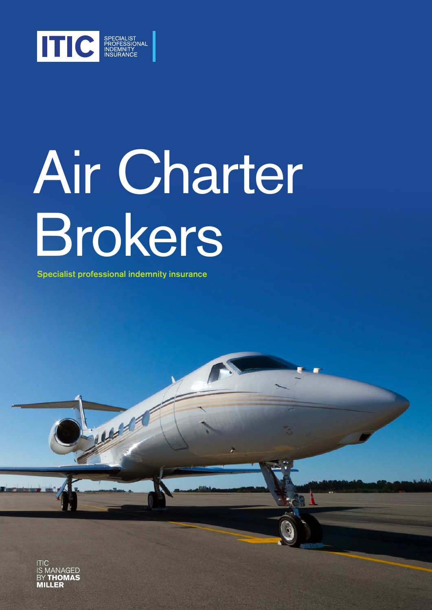

# Air Charter Brokers

Specialist professional indemnity insurance

**RANDARY** 

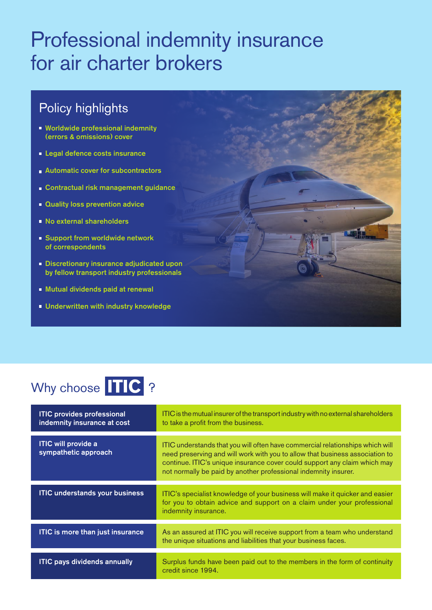# Professional indemnity insurance for air charter brokers

### Policy highlights

- **Worldwide professional indemnity** (errors & omissions) cover
- **Legal defence costs insurance**
- **Automatic cover for subcontractors**
- **Contractual risk management guidance**
- **Quality loss prevention advice**
- No external shareholders
- **Support from worldwide network** of correspondents
- **Discretionary insurance adjudicated upon** by fellow transport industry professionals
- **Mutual dividends paid at renewal**
- **Underwritten with industry knowledge**

## Why choose **TIC** ?

| <b>ITIC provides professional</b><br>indemnity insurance at cost | ITIC is the mutual insurer of the transport industry with no external shareholders<br>to take a profit from the business.                                                                                                                                                                                     |
|------------------------------------------------------------------|---------------------------------------------------------------------------------------------------------------------------------------------------------------------------------------------------------------------------------------------------------------------------------------------------------------|
| <b>ITIC will provide a</b><br>sympathetic approach               | ITIC understands that you will often have commercial relationships which will<br>need preserving and will work with you to allow that business association to<br>continue. ITIC's unique insurance cover could support any claim which may<br>not normally be paid by another professional indemnity insurer. |
| <b>ITIC understands your business</b>                            | ITIC's specialist knowledge of your business will make it quicker and easier<br>for you to obtain advice and support on a claim under your professional<br>indemnity insurance.                                                                                                                               |
| <b>ITIC is more than just insurance</b>                          | As an assured at ITIC you will receive support from a team who understand<br>the unique situations and liabilities that your business faces.                                                                                                                                                                  |
| <b>ITIC pays dividends annually</b>                              | Surplus funds have been paid out to the members in the form of continuity<br>credit since 1994.                                                                                                                                                                                                               |

**REAL**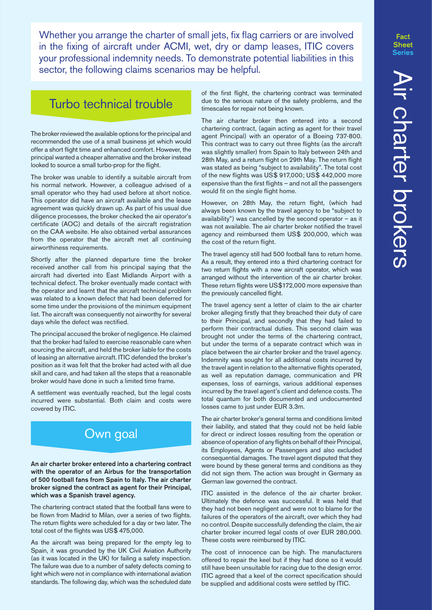Whether you arrange the charter of small jets, fix flag carriers or are involved in the fixing of aircraft under ACMI, wet, dry or damp leases, ITIC covers your professional indemnity needs. To demonstrate potential liabilities in this sector, the following claims scenarios may be helpful.

#### Turbo technical trouble

The broker reviewed the available options for the principal and recommended the use of a small business jet which would offer a short flight time and enhanced comfort. However, the principal wanted a cheaper alternative and the broker instead looked to source a small turbo-prop for the flight.

The broker was unable to identify a suitable aircraft from his normal network. However, a colleague advised of a small operator who they had used before at short notice. This operator did have an aircraft available and the lease agreement was quickly drawn up. As part of his usual due diligence processes, the broker checked the air operator's certificate (AOC) and details of the aircraft registration on the CAA website. He also obtained verbal assurances from the operator that the aircraft met all continuing airworthiness requirements.

Shortly after the planned departure time the broker received another call from his principal saying that the aircraft had diverted into East Midlands Airport with a technical defect. The broker eventually made contact with the operator and learnt that the aircraft technical problem was related to a known defect that had been deferred for some time under the provisions of the minimum equipment list. The aircraft was consequently not airworthy for several days while the defect was rectified.

The principal accused the broker of negligence. He claimed that the broker had failed to exercise reasonable care when sourcing the aircraft, and held the broker liable for the costs of leasing an alternative aircraft. ITIC defended the broker's position as it was felt that the broker had acted with all due skill and care, and had taken all the steps that a reasonable broker would have done in such a limited time frame.

A settlement was eventually reached, but the legal costs incurred were substantial. Both claim and costs were covered by ITIC.

#### Own goal

An air charter broker entered into a chartering contract with the operator of an Airbus for the transportation of 500 football fans from Spain to Italy. The air charter broker signed the contract as agent for their Principal, which was a Spanish travel agency.

The chartering contract stated that the football fans were to be flown from Madrid to Milan, over a series of two flights. The return flights were scheduled for a day or two later. The total cost of the flights was US\$ 475,000.

As the aircraft was being prepared for the empty leg to Spain, it was grounded by the UK Civil Aviation Authority (as it was located in the UK) for failing a safety inspection. The failure was due to a number of safety defects coming to light which were not in compliance with international aviation standards. The following day, which was the scheduled date

of the first flight, the chartering contract was terminated due to the serious nature of the safety problems, and the timescales for repair not being known.

The air charter broker then entered into a second chartering contract, (again acting as agent for their travel agent Principal) with an operator of a Boeing 737-800. This contract was to carry out three flights (as the aircraft was slightly smaller) from Spain to Italy between 24th and 28th May, and a return flight on 29th May. The return flight was stated as being "subject to availability". The total cost of the new flights was US\$ 917,000; US\$ 442,000 more expensive than the first flights – and not all the passengers would fit on the single flight home.

However, on 28th May, the return flight, (which had always been known by the travel agency to be "subject to availability") was cancelled by the second operator – as it was not available. The air charter broker notified the travel agency and reimbursed them US\$ 200,000, which was the cost of the return flight.

The travel agency still had 500 football fans to return home. As a result, they entered into a third chartering contract for two return flights with a new aircraft operator, which was arranged without the intervention of the air charter broker. These return flights were US\$172,000 more expensive than the previously cancelled flight.

The travel agency sent a letter of claim to the air charter broker alleging firstly that they breached their duty of care to their Principal, and secondly that they had failed to perform their contractual duties. This second claim was brought not under the terms of the chartering contract, but under the terms of a separate contract which was in place between the air charter broker and the travel agency. Indemnity was sought for all additional costs incurred by the travel agent in relation to the alternative flights operated, as well as reputation damage, communication and PR expenses, loss of earnings, various additional expenses incurred by the travel agent's client and defence costs. The total quantum for both documented and undocumented losses came to just under EUR 3.3m.

The air charter broker's general terms and conditions limited their liability, and stated that they could not be held liable for direct or indirect losses resulting from the operation or absence of operation of any flights on behalf of their Principal, its Employees, Agents or Passengers and also excluded consequential damages. The travel agent disputed that they were bound by these general terms and conditions as they did not sign them. The action was brought in Germany as German law governed the contract.

ITIC assisted in the defence of the air charter broker. Ultimately the defence was successful. It was held that they had not been negligent and were not to blame for the failures of the operators of the aircraft, over which they had no control. Despite successfully defending the claim, the air charter broker incurred legal costs of over EUR 280,000. These costs were reimbursed by ITIC.

The cost of innocence can be high. The manufacturers offered to repair the keel but if they had done so it would still have been unsuitable for racing due to the design error. ITIC agreed that a keel of the correct specification should be supplied and additional costs were settled by ITIC.